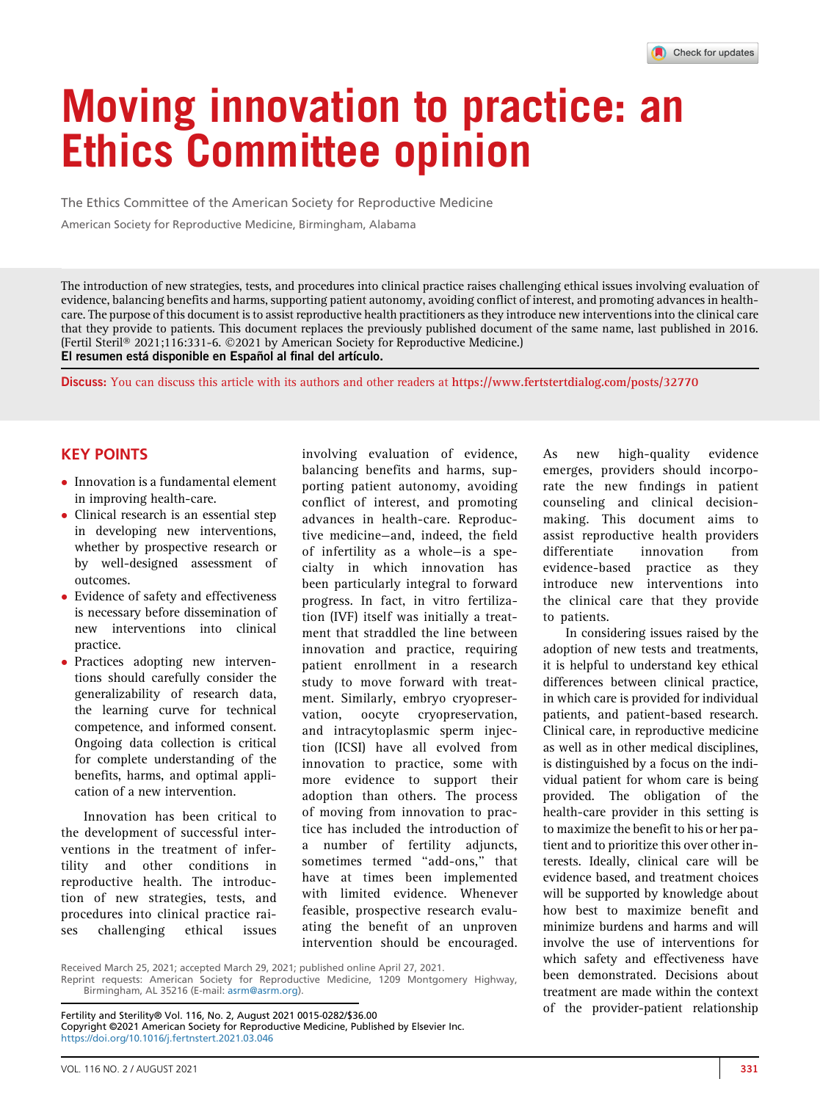# Moving innovation to practice: an Ethics Committee opinion

The Ethics Committee of the American Society for Reproductive Medicine

American Society for Reproductive Medicine, Birmingham, Alabama

The introduction of new strategies, tests, and procedures into clinical practice raises challenging ethical issues involving evaluation of evidence, balancing benefits and harms, supporting patient autonomy, avoiding conflict of interest, and promoting advances in healthcare. The purpose of this document is to assist reproductive health practitioners as they introduce new interventions into the clinical care that they provide to patients. This document replaces the previously published document of the same name, last published in 2016. (Fertil Steril® 2021;116:331-6. ©2021 by American Society for Reproductive Medicine.) El resumen está disponible en Español al final del artículo.

Discuss: You can discuss this article with its authors and other readers at <https://www.fertstertdialog.com/posts/32770>

# KEY POINTS

- Innovation is a fundamental element in improving health-care.
- Clinical research is an essential step in developing new interventions, whether by prospective research or by well-designed assessment of outcomes.
- Evidence of safety and effectiveness is necessary before dissemination of new interventions into clinical practice.
- Practices adopting new interventions should carefully consider the generalizability of research data, the learning curve for technical competence, and informed consent. Ongoing data collection is critical for complete understanding of the benefits, harms, and optimal application of a new intervention.

Innovation has been critical to the development of successful interventions in the treatment of infertility and other conditions in reproductive health. The introduction of new strategies, tests, and procedures into clinical practice raises challenging ethical issues

involving evaluation of evidence, balancing benefits and harms, supporting patient autonomy, avoiding conflict of interest, and promoting advances in health-care. Reproductive medicine—and, indeed, the field of infertility as a whole—is a specialty in which innovation has been particularly integral to forward progress. In fact, in vitro fertilization (IVF) itself was initially a treatment that straddled the line between innovation and practice, requiring patient enrollment in a research study to move forward with treatment. Similarly, embryo cryopreservation, oocyte cryopreservation, and intracytoplasmic sperm injection (ICSI) have all evolved from innovation to practice, some with more evidence to support their adoption than others. The process of moving from innovation to practice has included the introduction of a number of fertility adjuncts, sometimes termed "add-ons," that have at times been implemented with limited evidence. Whenever feasible, prospective research evaluating the benefit of an unproven intervention should be encouraged.

As new high-quality evidence emerges, providers should incorporate the new findings in patient counseling and clinical decisionmaking. This document aims to assist reproductive health providers differentiate innovation from evidence-based practice as they introduce new interventions into the clinical care that they provide to patients.

In considering issues raised by the adoption of new tests and treatments, it is helpful to understand key ethical differences between clinical practice, in which care is provided for individual patients, and patient-based research. Clinical care, in reproductive medicine as well as in other medical disciplines, is distinguished by a focus on the individual patient for whom care is being provided. The obligation of the health-care provider in this setting is to maximize the benefit to his or her patient and to prioritize this over other interests. Ideally, clinical care will be evidence based, and treatment choices will be supported by knowledge about how best to maximize benefit and minimize burdens and harms and will involve the use of interventions for which safety and effectiveness have been demonstrated. Decisions about treatment are made within the context of the provider-patient relationship

Reprint requests: American Society for Reproductive Medicine, 1209 Montgomery Highway, Birmingham, AL 35216 (E-mail: [asrm@asrm.org](mailto:asrm@asrm.org)).

Fertility and Sterility® Vol. 116, No. 2, August 2021 0015-0282/\$36.00 Copyright ©2021 American Society for Reproductive Medicine, Published by Elsevier Inc. <https://doi.org/10.1016/j.fertnstert.2021.03.046>

Received March 25, 2021; accepted March 29, 2021; published online April 27, 2021.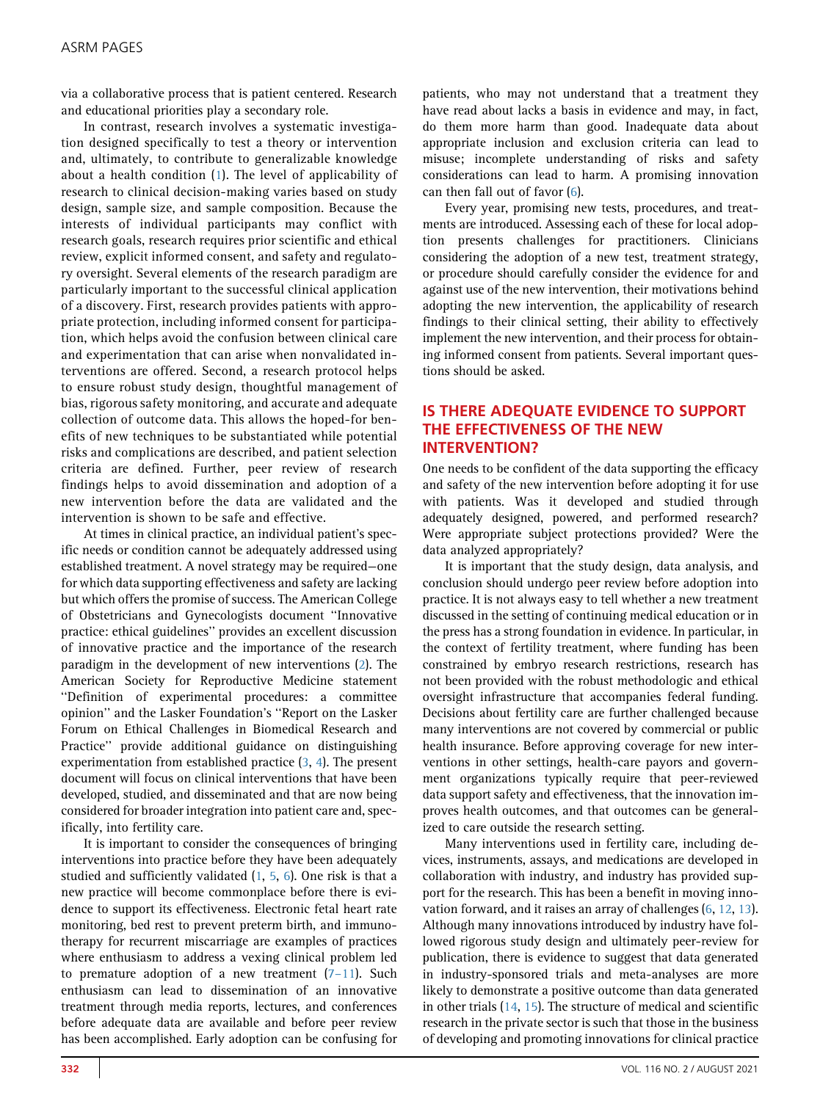via a collaborative process that is patient centered. Research and educational priorities play a secondary role.

In contrast, research involves a systematic investigation designed specifically to test a theory or intervention and, ultimately, to contribute to generalizable knowledge about a health condition ([1](#page-3-0)). The level of applicability of research to clinical decision-making varies based on study design, sample size, and sample composition. Because the interests of individual participants may conflict with research goals, research requires prior scientific and ethical review, explicit informed consent, and safety and regulatory oversight. Several elements of the research paradigm are particularly important to the successful clinical application of a discovery. First, research provides patients with appropriate protection, including informed consent for participation, which helps avoid the confusion between clinical care and experimentation that can arise when nonvalidated interventions are offered. Second, a research protocol helps to ensure robust study design, thoughtful management of bias, rigorous safety monitoring, and accurate and adequate collection of outcome data. This allows the hoped-for benefits of new techniques to be substantiated while potential risks and complications are described, and patient selection criteria are defined. Further, peer review of research findings helps to avoid dissemination and adoption of a new intervention before the data are validated and the intervention is shown to be safe and effective.

At times in clinical practice, an individual patient's specific needs or condition cannot be adequately addressed using established treatment. A novel strategy may be required—one for which data supporting effectiveness and safety are lacking but which offers the promise of success. The American College of Obstetricians and Gynecologists document ''Innovative practice: ethical guidelines'' provides an excellent discussion of innovative practice and the importance of the research paradigm in the development of new interventions ([2\)](#page-3-1). The American Society for Reproductive Medicine statement ''Definition of experimental procedures: a committee opinion'' and the Lasker Foundation's ''Report on the Lasker Forum on Ethical Challenges in Biomedical Research and Practice'' provide additional guidance on distinguishing experimentation from established practice [\(3](#page-3-2), [4\)](#page-3-3). The present document will focus on clinical interventions that have been developed, studied, and disseminated and that are now being considered for broader integration into patient care and, specifically, into fertility care.

It is important to consider the consequences of bringing interventions into practice before they have been adequately studied and sufficiently validated [\(1](#page-3-0), [5](#page-3-4), [6](#page-3-5)). One risk is that a new practice will become commonplace before there is evidence to support its effectiveness. Electronic fetal heart rate monitoring, bed rest to prevent preterm birth, and immunotherapy for recurrent miscarriage are examples of practices where enthusiasm to address a vexing clinical problem led to premature adoption of a new treatment  $(7-11)$  $(7-11)$ . Such enthusiasm can lead to dissemination of an innovative treatment through media reports, lectures, and conferences before adequate data are available and before peer review has been accomplished. Early adoption can be confusing for patients, who may not understand that a treatment they have read about lacks a basis in evidence and may, in fact, do them more harm than good. Inadequate data about appropriate inclusion and exclusion criteria can lead to misuse; incomplete understanding of risks and safety considerations can lead to harm. A promising innovation can then fall out of favor ([6\)](#page-3-5).

Every year, promising new tests, procedures, and treatments are introduced. Assessing each of these for local adoption presents challenges for practitioners. Clinicians considering the adoption of a new test, treatment strategy, or procedure should carefully consider the evidence for and against use of the new intervention, their motivations behind adopting the new intervention, the applicability of research findings to their clinical setting, their ability to effectively implement the new intervention, and their process for obtaining informed consent from patients. Several important questions should be asked.

### IS THERE ADEQUATE EVIDENCE TO SUPPORT THE EFFECTIVENESS OF THE NEW INTERVENTION?

One needs to be confident of the data supporting the efficacy and safety of the new intervention before adopting it for use with patients. Was it developed and studied through adequately designed, powered, and performed research? Were appropriate subject protections provided? Were the data analyzed appropriately?

It is important that the study design, data analysis, and conclusion should undergo peer review before adoption into practice. It is not always easy to tell whether a new treatment discussed in the setting of continuing medical education or in the press has a strong foundation in evidence. In particular, in the context of fertility treatment, where funding has been constrained by embryo research restrictions, research has not been provided with the robust methodologic and ethical oversight infrastructure that accompanies federal funding. Decisions about fertility care are further challenged because many interventions are not covered by commercial or public health insurance. Before approving coverage for new interventions in other settings, health-care payors and government organizations typically require that peer-reviewed data support safety and effectiveness, that the innovation improves health outcomes, and that outcomes can be generalized to care outside the research setting.

Many interventions used in fertility care, including devices, instruments, assays, and medications are developed in collaboration with industry, and industry has provided support for the research. This has been a benefit in moving innovation forward, and it raises an array of challenges ([6,](#page-3-5) [12](#page-3-7), [13](#page-4-0)). Although many innovations introduced by industry have followed rigorous study design and ultimately peer-review for publication, there is evidence to suggest that data generated in industry-sponsored trials and meta-analyses are more likely to demonstrate a positive outcome than data generated in other trials [\(14,](#page-4-1) [15\)](#page-4-2). The structure of medical and scientific research in the private sector is such that those in the business of developing and promoting innovations for clinical practice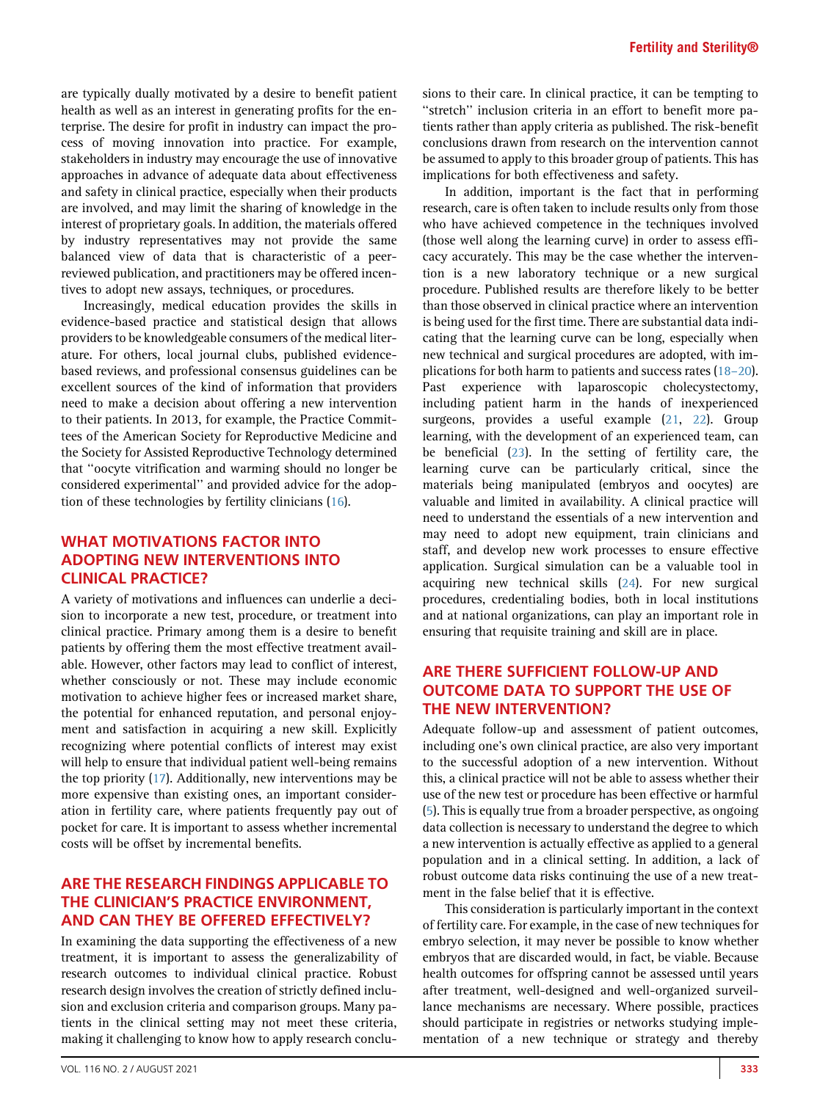are typically dually motivated by a desire to benefit patient health as well as an interest in generating profits for the enterprise. The desire for profit in industry can impact the process of moving innovation into practice. For example, stakeholders in industry may encourage the use of innovative approaches in advance of adequate data about effectiveness and safety in clinical practice, especially when their products are involved, and may limit the sharing of knowledge in the interest of proprietary goals. In addition, the materials offered by industry representatives may not provide the same balanced view of data that is characteristic of a peerreviewed publication, and practitioners may be offered incentives to adopt new assays, techniques, or procedures.

Increasingly, medical education provides the skills in evidence-based practice and statistical design that allows providers to be knowledgeable consumers of the medical literature. For others, local journal clubs, published evidencebased reviews, and professional consensus guidelines can be excellent sources of the kind of information that providers need to make a decision about offering a new intervention to their patients. In 2013, for example, the Practice Committees of the American Society for Reproductive Medicine and the Society for Assisted Reproductive Technology determined that ''oocyte vitrification and warming should no longer be considered experimental'' and provided advice for the adoption of these technologies by fertility clinicians [\(16\)](#page-4-3).

### WHAT MOTIVATIONS FACTOR INTO ADOPTING NEW INTERVENTIONS INTO CLINICAL PRACTICE?

A variety of motivations and influences can underlie a decision to incorporate a new test, procedure, or treatment into clinical practice. Primary among them is a desire to benefit patients by offering them the most effective treatment available. However, other factors may lead to conflict of interest, whether consciously or not. These may include economic motivation to achieve higher fees or increased market share, the potential for enhanced reputation, and personal enjoyment and satisfaction in acquiring a new skill. Explicitly recognizing where potential conflicts of interest may exist will help to ensure that individual patient well-being remains the top priority [\(17\)](#page-4-4). Additionally, new interventions may be more expensive than existing ones, an important consideration in fertility care, where patients frequently pay out of pocket for care. It is important to assess whether incremental costs will be offset by incremental benefits.

#### ARE THE RESEARCH FINDINGS APPLICABLE TO THE CLINICIAN'S PRACTICE ENVIRONMENT, AND CAN THEY BE OFFERED EFFECTIVELY?

In examining the data supporting the effectiveness of a new treatment, it is important to assess the generalizability of research outcomes to individual clinical practice. Robust research design involves the creation of strictly defined inclusion and exclusion criteria and comparison groups. Many patients in the clinical setting may not meet these criteria, making it challenging to know how to apply research conclusions to their care. In clinical practice, it can be tempting to ''stretch'' inclusion criteria in an effort to benefit more patients rather than apply criteria as published. The risk-benefit conclusions drawn from research on the intervention cannot be assumed to apply to this broader group of patients. This has implications for both effectiveness and safety.

In addition, important is the fact that in performing research, care is often taken to include results only from those who have achieved competence in the techniques involved (those well along the learning curve) in order to assess efficacy accurately. This may be the case whether the intervention is a new laboratory technique or a new surgical procedure. Published results are therefore likely to be better than those observed in clinical practice where an intervention is being used for the first time. There are substantial data indicating that the learning curve can be long, especially when new technical and surgical procedures are adopted, with implications for both harm to patients and success rates [\(18](#page-4-5)–20). Past experience with laparoscopic cholecystectomy, including patient harm in the hands of inexperienced surgeons, provides a useful example ([21](#page-4-6), [22\)](#page-4-7). Group learning, with the development of an experienced team, can be beneficial [\(23\)](#page-4-8). In the setting of fertility care, the learning curve can be particularly critical, since the materials being manipulated (embryos and oocytes) are valuable and limited in availability. A clinical practice will need to understand the essentials of a new intervention and may need to adopt new equipment, train clinicians and staff, and develop new work processes to ensure effective application. Surgical simulation can be a valuable tool in acquiring new technical skills ([24\)](#page-4-9). For new surgical procedures, credentialing bodies, both in local institutions and at national organizations, can play an important role in ensuring that requisite training and skill are in place.

# ARE THERE SUFFICIENT FOLLOW-UP AND OUTCOME DATA TO SUPPORT THE USE OF THE NEW INTERVENTION?

Adequate follow-up and assessment of patient outcomes, including one's own clinical practice, are also very important to the successful adoption of a new intervention. Without this, a clinical practice will not be able to assess whether their use of the new test or procedure has been effective or harmful ([5](#page-3-4)). This is equally true from a broader perspective, as ongoing data collection is necessary to understand the degree to which a new intervention is actually effective as applied to a general population and in a clinical setting. In addition, a lack of robust outcome data risks continuing the use of a new treatment in the false belief that it is effective.

This consideration is particularly important in the context of fertility care. For example, in the case of new techniques for embryo selection, it may never be possible to know whether embryos that are discarded would, in fact, be viable. Because health outcomes for offspring cannot be assessed until years after treatment, well-designed and well-organized surveillance mechanisms are necessary. Where possible, practices should participate in registries or networks studying implementation of a new technique or strategy and thereby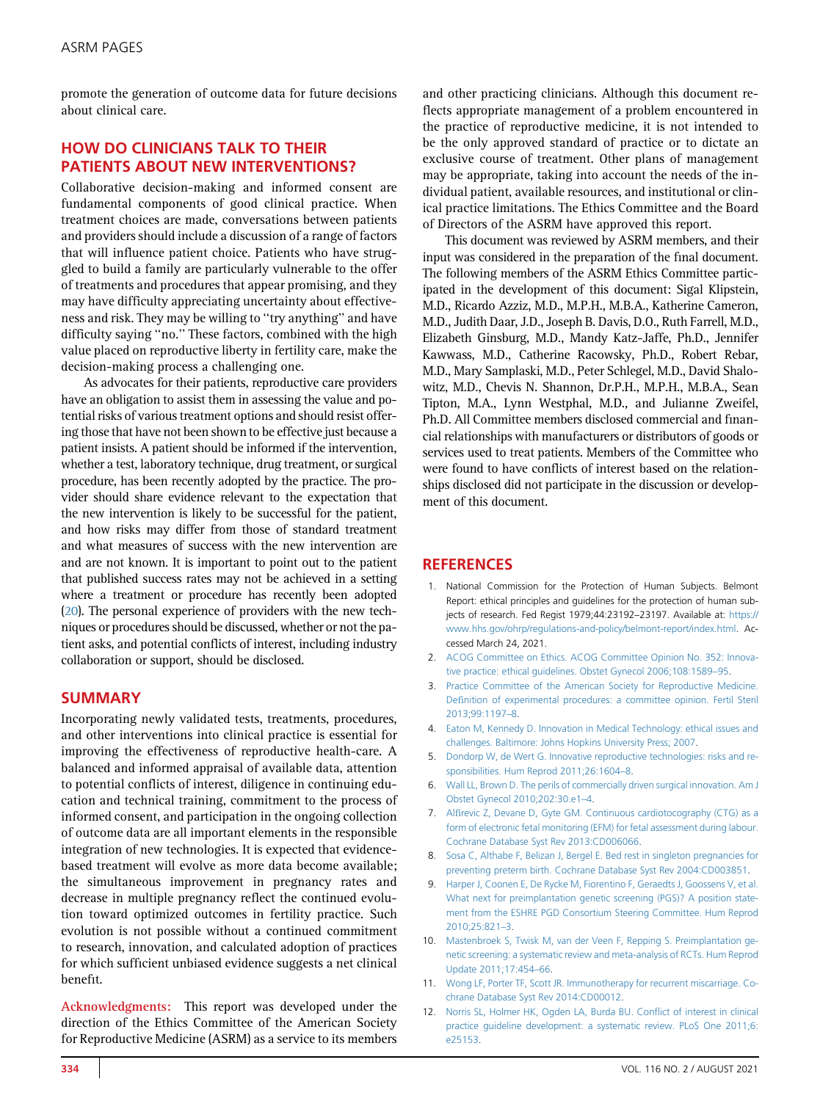promote the generation of outcome data for future decisions about clinical care.

# HOW DO CLINICIANS TALK TO THEIR PATIENTS ABOUT NEW INTERVENTIONS?

Collaborative decision-making and informed consent are fundamental components of good clinical practice. When treatment choices are made, conversations between patients and providers should include a discussion of a range of factors that will influence patient choice. Patients who have struggled to build a family are particularly vulnerable to the offer of treatments and procedures that appear promising, and they may have difficulty appreciating uncertainty about effectiveness and risk. They may be willing to ''try anything'' and have difficulty saying ''no.'' These factors, combined with the high value placed on reproductive liberty in fertility care, make the decision-making process a challenging one.

As advocates for their patients, reproductive care providers have an obligation to assist them in assessing the value and potential risks of various treatment options and should resist offering those that have not been shown to be effective just because a patient insists. A patient should be informed if the intervention, whether a test, laboratory technique, drug treatment, or surgical procedure, has been recently adopted by the practice. The provider should share evidence relevant to the expectation that the new intervention is likely to be successful for the patient, and how risks may differ from those of standard treatment and what measures of success with the new intervention are and are not known. It is important to point out to the patient that published success rates may not be achieved in a setting where a treatment or procedure has recently been adopted [\(20\)](#page-4-10). The personal experience of providers with the new techniques or procedures should be discussed, whether or not the patient asks, and potential conflicts of interest, including industry collaboration or support, should be disclosed.

#### SUMMARY

Incorporating newly validated tests, treatments, procedures, and other interventions into clinical practice is essential for improving the effectiveness of reproductive health-care. A balanced and informed appraisal of available data, attention to potential conflicts of interest, diligence in continuing education and technical training, commitment to the process of informed consent, and participation in the ongoing collection of outcome data are all important elements in the responsible integration of new technologies. It is expected that evidencebased treatment will evolve as more data become available; the simultaneous improvement in pregnancy rates and decrease in multiple pregnancy reflect the continued evolution toward optimized outcomes in fertility practice. Such evolution is not possible without a continued commitment to research, innovation, and calculated adoption of practices for which sufficient unbiased evidence suggests a net clinical benefit.

Acknowledgments: This report was developed under the direction of the Ethics Committee of the American Society for Reproductive Medicine (ASRM) as a service to its members

and other practicing clinicians. Although this document reflects appropriate management of a problem encountered in the practice of reproductive medicine, it is not intended to be the only approved standard of practice or to dictate an exclusive course of treatment. Other plans of management may be appropriate, taking into account the needs of the individual patient, available resources, and institutional or clinical practice limitations. The Ethics Committee and the Board of Directors of the ASRM have approved this report.

This document was reviewed by ASRM members, and their input was considered in the preparation of the final document. The following members of the ASRM Ethics Committee participated in the development of this document: Sigal Klipstein, M.D., Ricardo Azziz, M.D., M.P.H., M.B.A., Katherine Cameron, M.D., Judith Daar, J.D., Joseph B. Davis, D.O., Ruth Farrell, M.D., Elizabeth Ginsburg, M.D., Mandy Katz-Jaffe, Ph.D., Jennifer Kawwass, M.D., Catherine Racowsky, Ph.D., Robert Rebar, M.D., Mary Samplaski, M.D., Peter Schlegel, M.D., David Shalowitz, M.D., Chevis N. Shannon, Dr.P.H., M.P.H., M.B.A., Sean Tipton, M.A., Lynn Westphal, M.D., and Julianne Zweifel, Ph.D. All Committee members disclosed commercial and financial relationships with manufacturers or distributors of goods or services used to treat patients. Members of the Committee who were found to have conflicts of interest based on the relationships disclosed did not participate in the discussion or development of this document.

# <span id="page-3-0"></span>**REFERENCES**

- <span id="page-3-1"></span>1. National Commission for the Protection of Human Subjects. Belmont Report: ethical principles and guidelines for the protection of human subjects of research. Fed Regist 1979;44:23192–23197. Available at: [https://](https://www.hhs.gov/ohrp/regulations-and-policy/belmont-report/index.html) [www.hhs.gov/ohrp/regulations-and-policy/belmont-report/index.html](https://www.hhs.gov/ohrp/regulations-and-policy/belmont-report/index.html). Accessed March 24, 2021.
- <span id="page-3-2"></span>2. [ACOG Committee on Ethics. ACOG Committee Opinion No. 352: Innova](http://refhub.elsevier.com/S0015-0282(21)00251-X/sref2)[tive practice: ethical guidelines. Obstet Gynecol 2006;108:1589](http://refhub.elsevier.com/S0015-0282(21)00251-X/sref2)–95.
- <span id="page-3-3"></span>3. [Practice Committee of the American Society for Reproductive Medicine.](http://refhub.elsevier.com/S0015-0282(21)00251-X/sref3) [De](http://refhub.elsevier.com/S0015-0282(21)00251-X/sref3)fi[nition of experimental procedures: a committee opinion. Fertil Steril](http://refhub.elsevier.com/S0015-0282(21)00251-X/sref3) [2013;99:1197](http://refhub.elsevier.com/S0015-0282(21)00251-X/sref3)–8.
- <span id="page-3-4"></span>4. [Eaton M, Kennedy D. Innovation in Medical Technology: ethical issues and](http://refhub.elsevier.com/S0015-0282(21)00251-X/sref4) [challenges. Baltimore: Johns Hopkins University Press; 2007.](http://refhub.elsevier.com/S0015-0282(21)00251-X/sref4)
- <span id="page-3-5"></span>5. [Dondorp W, de Wert G. Innovative reproductive technologies: risks and re](http://refhub.elsevier.com/S0015-0282(21)00251-X/sref5)[sponsibilities. Hum Reprod 2011;26:1604](http://refhub.elsevier.com/S0015-0282(21)00251-X/sref5)–8.
- <span id="page-3-6"></span>6. [Wall LL, Brown D. The perils of commercially driven surgical innovation. Am J](http://refhub.elsevier.com/S0015-0282(21)00251-X/sref6) [Obstet Gynecol 2010;202:30.e1](http://refhub.elsevier.com/S0015-0282(21)00251-X/sref6)–4.
- 7. [Al](http://refhub.elsevier.com/S0015-0282(21)00251-X/sref7)fi[revic Z, Devane D, Gyte GM. Continuous cardiotocography \(CTG\) as a](http://refhub.elsevier.com/S0015-0282(21)00251-X/sref7) [form of electronic fetal monitoring \(EFM\) for fetal assessment during labour.](http://refhub.elsevier.com/S0015-0282(21)00251-X/sref7) [Cochrane Database Syst Rev 2013:CD006066](http://refhub.elsevier.com/S0015-0282(21)00251-X/sref7).
- 8. [Sosa C, Althabe F, Belizan J, Bergel E. Bed rest in singleton pregnancies for](http://refhub.elsevier.com/S0015-0282(21)00251-X/sref8) [preventing preterm birth. Cochrane Database Syst Rev 2004:CD003851](http://refhub.elsevier.com/S0015-0282(21)00251-X/sref8).
- 9. [Harper J, Coonen E, De Rycke M, Fiorentino F, Geraedts J, Goossens V, et al.](http://refhub.elsevier.com/S0015-0282(21)00251-X/sref9) [What next for preimplantation genetic screening \(PGS\)? A position state](http://refhub.elsevier.com/S0015-0282(21)00251-X/sref9)[ment from the ESHRE PGD Consortium Steering Committee. Hum Reprod](http://refhub.elsevier.com/S0015-0282(21)00251-X/sref9) [2010;25:821](http://refhub.elsevier.com/S0015-0282(21)00251-X/sref9)–3.
- 10. [Mastenbroek S, Twisk M, van der Veen F, Repping S. Preimplantation ge](http://refhub.elsevier.com/S0015-0282(21)00251-X/sref10)[netic screening: a systematic review and meta-analysis of RCTs. Hum Reprod](http://refhub.elsevier.com/S0015-0282(21)00251-X/sref10) [Update 2011;17:454](http://refhub.elsevier.com/S0015-0282(21)00251-X/sref10)–66.
- <span id="page-3-7"></span>11. [Wong LF, Porter TF, Scott JR. Immunotherapy for recurrent miscarriage. Co](http://refhub.elsevier.com/S0015-0282(21)00251-X/sref11)[chrane Database Syst Rev 2014:CD00012.](http://refhub.elsevier.com/S0015-0282(21)00251-X/sref11)
- 12. [Norris SL, Holmer HK, Ogden LA, Burda BU. Con](http://refhub.elsevier.com/S0015-0282(21)00251-X/sref12)flict of interest in clinical [practice guideline development: a systematic review. PLoS One 2011;6:](http://refhub.elsevier.com/S0015-0282(21)00251-X/sref12) [e25153](http://refhub.elsevier.com/S0015-0282(21)00251-X/sref12).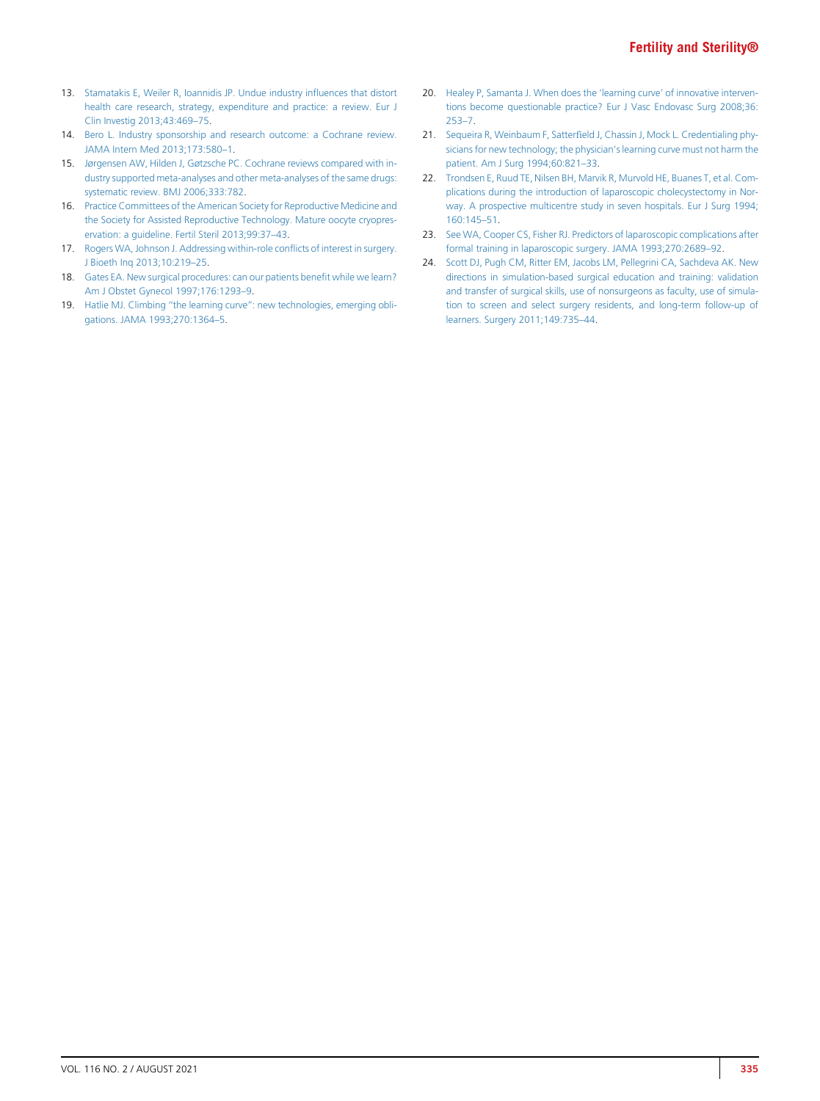- <span id="page-4-0"></span>13. [Stamatakis E, Weiler R, Ioannidis JP. Undue industry in](http://refhub.elsevier.com/S0015-0282(21)00251-X/sref13)fluences that distort [health care research, strategy, expenditure and practice: a review. Eur J](http://refhub.elsevier.com/S0015-0282(21)00251-X/sref13) [Clin Investig 2013;43:469](http://refhub.elsevier.com/S0015-0282(21)00251-X/sref13)–75.
- <span id="page-4-1"></span>14. [Bero L. Industry sponsorship and research outcome: a Cochrane review.](http://refhub.elsevier.com/S0015-0282(21)00251-X/sref14) [JAMA Intern Med 2013;173:580](http://refhub.elsevier.com/S0015-0282(21)00251-X/sref14)–1.
- <span id="page-4-2"></span>15. [Jørgensen AW, Hilden J, Gøtzsche PC. Cochrane reviews compared with in](http://refhub.elsevier.com/S0015-0282(21)00251-X/sref15)[dustry supported meta-analyses and other meta-analyses of the same drugs:](http://refhub.elsevier.com/S0015-0282(21)00251-X/sref15) [systematic review. BMJ 2006;333:782](http://refhub.elsevier.com/S0015-0282(21)00251-X/sref15).
- <span id="page-4-3"></span>16. [Practice Committees of the American Society for Reproductive Medicine and](http://refhub.elsevier.com/S0015-0282(21)00251-X/sref16) [the Society for Assisted Reproductive Technology. Mature oocyte cryopres](http://refhub.elsevier.com/S0015-0282(21)00251-X/sref16)[ervation: a guideline. Fertil Steril 2013;99:37](http://refhub.elsevier.com/S0015-0282(21)00251-X/sref16)–43.
- <span id="page-4-4"></span>17. [Rogers WA, Johnson J. Addressing within-role con](http://refhub.elsevier.com/S0015-0282(21)00251-X/sref17)flicts of interest in surgery. [J Bioeth Inq 2013;10:219](http://refhub.elsevier.com/S0015-0282(21)00251-X/sref17)–25.
- <span id="page-4-5"></span>18. [Gates EA. New surgical procedures: can our patients bene](http://refhub.elsevier.com/S0015-0282(21)00251-X/sref18)fit while we learn? [Am J Obstet Gynecol 1997;176:1293](http://refhub.elsevier.com/S0015-0282(21)00251-X/sref18)–9.
- 19. [Hatlie MJ. Climbing](http://refhub.elsevier.com/S0015-0282(21)00251-X/sref19) ''the learning curve''[: new technologies, emerging obli](http://refhub.elsevier.com/S0015-0282(21)00251-X/sref19)[gations. JAMA 1993;270:1364](http://refhub.elsevier.com/S0015-0282(21)00251-X/sref19)–5.
- <span id="page-4-10"></span>20. [Healey P, Samanta J. When does the](http://refhub.elsevier.com/S0015-0282(21)00251-X/sref20) 'learning curve' of innovative interven[tions become questionable practice? Eur J Vasc Endovasc Surg 2008;36:](http://refhub.elsevier.com/S0015-0282(21)00251-X/sref20) [253](http://refhub.elsevier.com/S0015-0282(21)00251-X/sref20)–7.
- <span id="page-4-6"></span>21. [Sequeira R, Weinbaum F, Satter](http://refhub.elsevier.com/S0015-0282(21)00251-X/sref21)fi[eld J, Chassin J, Mock L. Credentialing phy](http://refhub.elsevier.com/S0015-0282(21)00251-X/sref21)[sicians for new technology; the physician's learning curve must not harm the](http://refhub.elsevier.com/S0015-0282(21)00251-X/sref21) [patient. Am J Surg 1994;60:821](http://refhub.elsevier.com/S0015-0282(21)00251-X/sref21)–33.
- <span id="page-4-7"></span>22. [Trondsen E, Ruud TE, Nilsen BH, Marvik R, Murvold HE, Buanes T, et al. Com](http://refhub.elsevier.com/S0015-0282(21)00251-X/sref22)[plications during the introduction of laparoscopic cholecystectomy in Nor](http://refhub.elsevier.com/S0015-0282(21)00251-X/sref22)[way. A prospective multicentre study in seven hospitals. Eur J Surg 1994;](http://refhub.elsevier.com/S0015-0282(21)00251-X/sref22) [160:145](http://refhub.elsevier.com/S0015-0282(21)00251-X/sref22)–51.
- <span id="page-4-8"></span>23. [See WA, Cooper CS, Fisher RJ. Predictors of laparoscopic complications after](http://refhub.elsevier.com/S0015-0282(21)00251-X/sref23) [formal training in laparoscopic surgery. JAMA 1993;270:2689](http://refhub.elsevier.com/S0015-0282(21)00251-X/sref23)–92.
- <span id="page-4-9"></span>24. [Scott DJ, Pugh CM, Ritter EM, Jacobs LM, Pellegrini CA, Sachdeva AK. New](http://refhub.elsevier.com/S0015-0282(21)00251-X/sref24) [directions in simulation-based surgical education and training: validation](http://refhub.elsevier.com/S0015-0282(21)00251-X/sref24) [and transfer of surgical skills, use of nonsurgeons as faculty, use of simula](http://refhub.elsevier.com/S0015-0282(21)00251-X/sref24)[tion to screen and select surgery residents, and long-term follow-up of](http://refhub.elsevier.com/S0015-0282(21)00251-X/sref24) [learners. Surgery 2011;149:735](http://refhub.elsevier.com/S0015-0282(21)00251-X/sref24)–44.